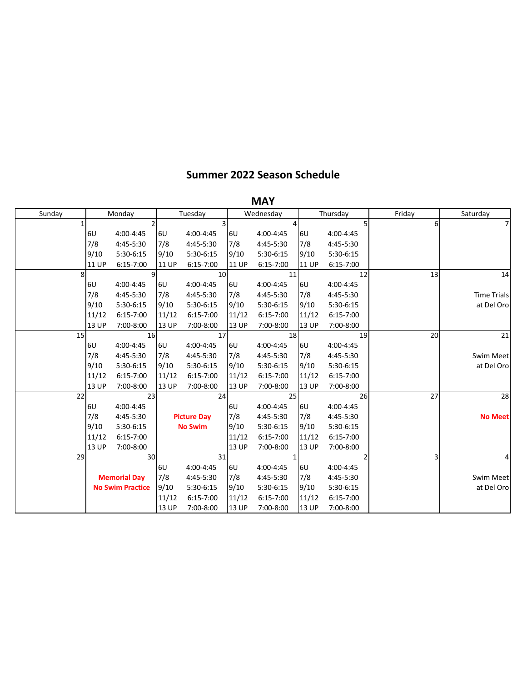## **Summer 2022 Season Schedule**

|        |    |              |                         |              |                    |              | <b>MAY</b>    |              |               |        |                    |
|--------|----|--------------|-------------------------|--------------|--------------------|--------------|---------------|--------------|---------------|--------|--------------------|
| Sunday |    |              | Monday                  |              | Tuesday            |              | Wednesday     |              | Thursday      | Friday | Saturday           |
|        | 1  |              | 2                       |              |                    |              |               |              | 5             | 6      | 7                  |
|        |    | <b>6U</b>    | 4:00-4:45               | 6U           | 4:00-4:45          | <b>6U</b>    | 4:00-4:45     | <b>6U</b>    | 4:00-4:45     |        |                    |
|        |    | 7/8          | 4:45-5:30               | 7/8          | 4:45-5:30          | 7/8          | 4:45-5:30     | 7/8          | 4:45-5:30     |        |                    |
|        |    | 9/10         | 5:30-6:15               | 9/10         | 5:30-6:15          | 9/10         | 5:30-6:15     | 9/10         | 5:30-6:15     |        |                    |
|        |    | <b>11 UP</b> | $6:15 - 7:00$           | <b>11 UP</b> | 6:15-7:00          | <b>11 UP</b> | $6:15 - 7:00$ | <b>11 UP</b> | $6:15 - 7:00$ |        |                    |
|        | 8  |              | 9                       |              | 10                 |              | 11            |              | 12            | 13     | 14                 |
|        |    | 6U           | 4:00-4:45               | 6U           | 4:00-4:45          | 6U           | 4:00-4:45     | <b>6U</b>    | 4:00-4:45     |        |                    |
|        |    | 7/8          | 4:45-5:30               | 7/8          | 4:45-5:30          | 7/8          | 4:45-5:30     | 7/8          | 4:45-5:30     |        | <b>Time Trials</b> |
|        |    | 9/10         | 5:30-6:15               | 9/10         | 5:30-6:15          | 9/10         | 5:30-6:15     | 9/10         | 5:30-6:15     |        | at Del Oro         |
|        |    | 11/12        | 6:15-7:00               | 11/12        | 6:15-7:00          | 11/12        | $6:15 - 7:00$ | 11/12        | $6:15 - 7:00$ |        |                    |
|        |    | <b>13 UP</b> | 7:00-8:00               | 13 UP        | 7:00-8:00          | 13 UP        | 7:00-8:00     | <b>13 UP</b> | 7:00-8:00     |        |                    |
|        | 15 |              | 16                      |              | 17                 |              | 18            |              | 19            | 20     | 21                 |
|        |    | <b>6U</b>    | 4:00-4:45               | 6U           | 4:00-4:45          | 6U           | 4:00-4:45     | <b>6U</b>    | 4:00-4:45     |        |                    |
|        |    | 7/8          | 4:45-5:30               | 7/8          | 4:45-5:30          | 7/8          | 4:45-5:30     | 7/8          | 4:45-5:30     |        | Swim Meet          |
|        |    | 9/10         | 5:30-6:15               | 9/10         | 5:30-6:15          | 9/10         | 5:30-6:15     | 9/10         | 5:30-6:15     |        | at Del Oro         |
|        |    | 11/12        | $6:15 - 7:00$           | 11/12        | 6:15-7:00          | 11/12        | $6:15 - 7:00$ | 11/12        | $6:15 - 7:00$ |        |                    |
|        |    | 13 UP        | 7:00-8:00               | 13 UP        | 7:00-8:00          | 13 UP        | 7:00-8:00     | <b>13 UP</b> | 7:00-8:00     |        |                    |
|        | 22 |              | 23                      |              | 24                 |              | 25            |              | 26            | 27     | 28                 |
|        |    | <b>6U</b>    | 4:00-4:45               |              |                    | 6U           | 4:00-4:45     | 6U           | 4:00-4:45     |        |                    |
|        |    | 7/8          | 4:45-5:30               |              | <b>Picture Day</b> | 7/8          | 4:45-5:30     | 7/8          | 4:45-5:30     |        | <b>No Meet</b>     |
|        |    | 9/10         | 5:30-6:15               |              | <b>No Swim</b>     | 9/10         | 5:30-6:15     | 9/10         | 5:30-6:15     |        |                    |
|        |    | 11/12        | $6:15 - 7:00$           |              |                    | 11/12        | $6:15 - 7:00$ | 11/12        | $6:15 - 7:00$ |        |                    |
|        |    | <b>13 UP</b> | 7:00-8:00               |              |                    | 13 UP        | 7:00-8:00     | <b>13 UP</b> | 7:00-8:00     |        |                    |
|        | 29 |              | 30 <sup>1</sup>         |              | 31                 |              | $\mathbf{1}$  |              | 2             | 3      |                    |
|        |    |              |                         | 6U           | 4:00-4:45          | 6U           | 4:00-4:45     | 6U           | 4:00-4:45     |        |                    |
|        |    |              | <b>Memorial Day</b>     | 7/8          | 4:45-5:30          | 7/8          | 4:45-5:30     | 7/8          | 4:45-5:30     |        | Swim Meet          |
|        |    |              | <b>No Swim Practice</b> | 9/10         | 5:30-6:15          | 9/10         | 5:30-6:15     | 9/10         | 5:30-6:15     |        | at Del Oro         |
|        |    |              |                         | 11/12        | 6:15-7:00          | 11/12        | $6:15 - 7:00$ | 11/12        | $6:15 - 7:00$ |        |                    |
|        |    |              |                         | 13 UP        | 7:00-8:00          | 13 UP        | 7:00-8:00     | 13 UP        | 7:00-8:00     |        |                    |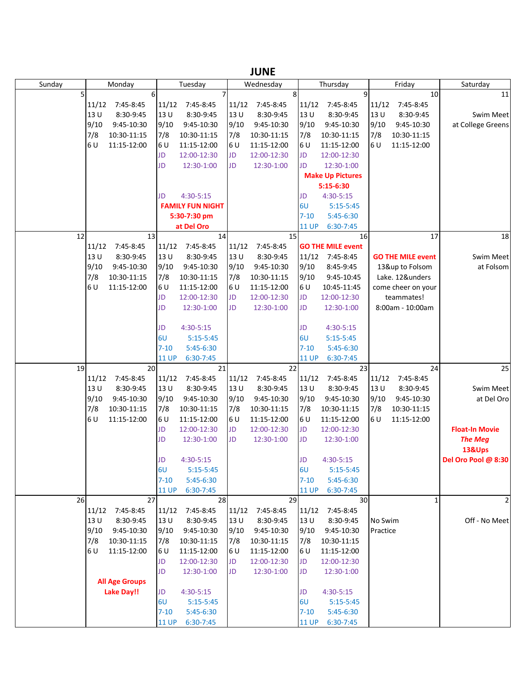|        |       |                       |              |                         |       | JUIVL           |              |                          |          |                          |                       |
|--------|-------|-----------------------|--------------|-------------------------|-------|-----------------|--------------|--------------------------|----------|--------------------------|-----------------------|
| Sunday |       | Monday                |              | Tuesday                 |       | Wednesday       |              | Thursday                 |          | Friday                   | Saturday              |
| 5      |       | 6                     |              |                         |       | 8               |              | 9                        |          | 10                       | 11                    |
|        |       | 11/12 7:45-8:45       | 11/12        | 7:45-8:45               | 11/12 | 7:45-8:45       | 11/12        | 7:45-8:45                | 11/12    | 7:45-8:45                |                       |
|        | 13U   | 8:30-9:45             | 13 U         | 8:30-9:45               | 13U   | 8:30-9:45       | 13U          | 8:30-9:45                | 13U      | 8:30-9:45                | <b>Swim Meet</b>      |
|        | 9/10  | 9:45-10:30            | 9/10         | 9:45-10:30              | 9/10  | 9:45-10:30      | 9/10         | 9:45-10:30               | 9/10     | 9:45-10:30               | at College Greens     |
|        | 7/8   | 10:30-11:15           | 7/8          | 10:30-11:15             | 7/8   | 10:30-11:15     | 7/8          | 10:30-11:15              | 7/8      | 10:30-11:15              |                       |
|        | 6 U   | 11:15-12:00           | 6U           | 11:15-12:00             | 6 U   | 11:15-12:00     | 6 U          | 11:15-12:00              | 6 U      | 11:15-12:00              |                       |
|        |       |                       | JD           | 12:00-12:30             | JD    | 12:00-12:30     | <b>JD</b>    | 12:00-12:30              |          |                          |                       |
|        |       |                       | JD           | 12:30-1:00              | JD    | 12:30-1:00      | <b>JD</b>    | 12:30-1:00               |          |                          |                       |
|        |       |                       |              |                         |       |                 |              | <b>Make Up Pictures</b>  |          |                          |                       |
|        |       |                       |              |                         |       |                 |              |                          |          |                          |                       |
|        |       |                       |              |                         |       |                 |              | 5:15-6:30                |          |                          |                       |
|        |       |                       | JD           | 4:30-5:15               |       |                 | JD           | 4:30-5:15                |          |                          |                       |
|        |       |                       |              | <b>FAMILY FUN NIGHT</b> |       |                 | 6U           | $5:15-5:45$              |          |                          |                       |
|        |       |                       |              | 5:30-7:30 pm            |       |                 | $7 - 10$     | $5:45-6:30$              |          |                          |                       |
|        |       |                       |              | at Del Oro              |       |                 | <b>11 UP</b> | 6:30-7:45                |          |                          |                       |
| 12     |       | 13                    |              | 14                      |       | 15              |              | 16                       |          | 17                       | 18                    |
|        | 11/12 | 7:45-8:45             | 11/12        | 7:45-8:45               | 11/12 | 7:45-8:45       |              | <b>GO THE MILE event</b> |          |                          |                       |
|        | 13U   | 8:30-9:45             | 13 U         | 8:30-9:45               | 13U   | 8:30-9:45       | 11/12        | 7:45-8:45                |          | <b>GO THE MILE event</b> | <b>Swim Meet</b>      |
|        | 9/10  | 9:45-10:30            | 9/10         | 9:45-10:30              | 9/10  | 9:45-10:30      | 9/10         | 8:45-9:45                |          | 13&up to Folsom          | at Folsom             |
|        | 7/8   | 10:30-11:15           | 7/8          | 10:30-11:15             | 7/8   | 10:30-11:15     | 9/10         | 9:45-10:45               |          | Lake. 12&unders          |                       |
|        | 6 U   | 11:15-12:00           | 6 U          | 11:15-12:00             | 6 U   | 11:15-12:00     | 6 U          | 10:45-11:45              |          | come cheer on your       |                       |
|        |       |                       | JD           | 12:00-12:30             | JD    | 12:00-12:30     | <b>JD</b>    | 12:00-12:30              |          | teammates!               |                       |
|        |       |                       | JD           | 12:30-1:00              | JD    | 12:30-1:00      | <b>JD</b>    | 12:30-1:00               |          | 8:00am - 10:00am         |                       |
|        |       |                       |              |                         |       |                 |              |                          |          |                          |                       |
|        |       |                       | JD           | 4:30-5:15               |       |                 | JD           | 4:30-5:15                |          |                          |                       |
|        |       |                       | 6U           | $5:15-5:45$             |       |                 | 6U           | $5:15-5:45$              |          |                          |                       |
|        |       |                       | $7 - 10$     | 5:45-6:30               |       |                 | $7 - 10$     |                          |          |                          |                       |
|        |       |                       |              |                         |       |                 |              | 5:45-6:30                |          |                          |                       |
|        |       |                       | <b>11 UP</b> | $6:30-7:45$             |       |                 | <b>11 UP</b> | 6:30-7:45                |          |                          |                       |
| 19     |       | 20                    |              | 21                      |       | 22              |              | 23                       |          | 24                       | 25                    |
|        | 11/12 | 7:45-8:45             | 11/12        | 7:45-8:45               | 11/12 | 7:45-8:45       | 11/12        | 7:45-8:45                | 11/12    | 7:45-8:45                |                       |
|        | 13U   | 8:30-9:45             | 13 U         | 8:30-9:45               | 13 U  | 8:30-9:45       | 13U          | 8:30-9:45                | 13U      | 8:30-9:45                | Swim Meet             |
|        | 9/10  | 9:45-10:30            | 9/10         | 9:45-10:30              | 9/10  | 9:45-10:30      | 9/10         | 9:45-10:30               | 9/10     | 9:45-10:30               | at Del Oro            |
|        | 7/8   | 10:30-11:15           | 7/8          | 10:30-11:15             | 7/8   | 10:30-11:15     | 7/8          | 10:30-11:15              | 7/8      | 10:30-11:15              |                       |
|        | 6 U   | 11:15-12:00           | 6U           | 11:15-12:00             | 6 U   | 11:15-12:00     | 6 U          | 11:15-12:00              | 6U       | 11:15-12:00              |                       |
|        |       |                       | JD           | 12:00-12:30             | JD    | 12:00-12:30     | <b>JD</b>    | 12:00-12:30              |          |                          | <b>Float-In Movie</b> |
|        |       |                       | JD           | 12:30-1:00              | JD    | 12:30-1:00      | <b>JD</b>    | 12:30-1:00               |          |                          | <b>The Meg</b>        |
|        |       |                       |              |                         |       |                 |              |                          |          |                          | 13&Ups                |
|        |       |                       | JD           | 4:30-5:15               |       |                 | JD           | $4:30 - 5:15$            |          |                          | Del Oro Pool @ 8:30   |
|        |       |                       | 6U           | $5:15-5:45$             |       |                 | 6U           | $5:15-5:45$              |          |                          |                       |
|        |       |                       | $7 - 10$     | 5:45-6:30               |       |                 | $7 - 10$     | 5:45-6:30                |          |                          |                       |
|        |       |                       | <b>11 UP</b> | 6:30-7:45               |       |                 | <b>11 UP</b> | 6:30-7:45                |          |                          |                       |
| 26     |       | 27                    |              | 28                      |       | 29              |              | 30                       |          | $\mathbf{1}$             | $\overline{2}$        |
|        |       | 11/12 7:45-8:45       | 11/12        | 7:45-8:45               |       | 11/12 7:45-8:45 | 11/12        | 7:45-8:45                |          |                          |                       |
|        | 13U   | 8:30-9:45             | 13 U         | 8:30-9:45               | 13 U  | 8:30-9:45       | 13U          | 8:30-9:45                | No Swim  |                          | Off - No Meet         |
|        | 9/10  | 9:45-10:30            | 9/10         | 9:45-10:30              | 9/10  | 9:45-10:30      | 9/10         | 9:45-10:30               | Practice |                          |                       |
|        | 7/8   | 10:30-11:15           | 7/8          | 10:30-11:15             | 7/8   | 10:30-11:15     | 7/8          | 10:30-11:15              |          |                          |                       |
|        | 6 U   | 11:15-12:00           | 6 U          | 11:15-12:00             | 6 U   | 11:15-12:00     | 6 U          | 11:15-12:00              |          |                          |                       |
|        |       |                       | JD           | 12:00-12:30             | JD    | 12:00-12:30     | <b>JD</b>    | 12:00-12:30              |          |                          |                       |
|        |       |                       | <b>JD</b>    |                         |       |                 | <b>JD</b>    |                          |          |                          |                       |
|        |       |                       |              | 12:30-1:00              | JD    | 12:30-1:00      |              | 12:30-1:00               |          |                          |                       |
|        |       | <b>All Age Groups</b> |              |                         |       |                 |              |                          |          |                          |                       |
|        |       | <b>Lake Day!!</b>     | JD           | 4:30-5:15               |       |                 | <b>JD</b>    | 4:30-5:15                |          |                          |                       |
|        |       |                       | 6U           | $5:15-5:45$             |       |                 | 6U           | $5:15-5:45$              |          |                          |                       |
|        |       |                       | $7 - 10$     | 5:45-6:30               |       |                 | $7 - 10$     | 5:45-6:30                |          |                          |                       |
|        |       |                       | <b>11 UP</b> | 6:30-7:45               |       |                 | <b>11 UP</b> | 6:30-7:45                |          |                          |                       |

**JUNE**